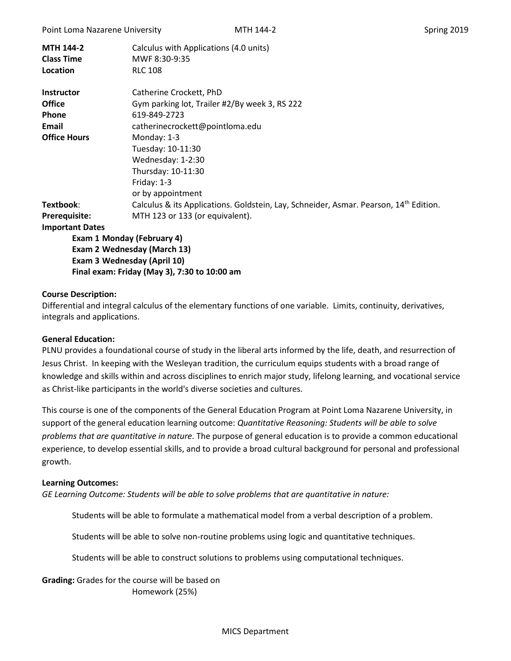| <b>MTH 144-2</b><br><b>Class Time</b><br>Location | Calculus with Applications (4.0 units)<br>MWF 8:30-9:35<br><b>RLC 108</b>                         |  |  |  |  |
|---------------------------------------------------|---------------------------------------------------------------------------------------------------|--|--|--|--|
| <b>Instructor</b>                                 | Catherine Crockett, PhD                                                                           |  |  |  |  |
| <b>Office</b>                                     | Gym parking lot, Trailer #2/By week 3, RS 222                                                     |  |  |  |  |
| <b>Phone</b>                                      | 619-849-2723                                                                                      |  |  |  |  |
| Email                                             | catherinecrockett@pointloma.edu                                                                   |  |  |  |  |
| <b>Office Hours</b>                               | Monday: 1-3                                                                                       |  |  |  |  |
|                                                   | Tuesday: 10-11:30                                                                                 |  |  |  |  |
|                                                   | Wednesday: 1-2:30                                                                                 |  |  |  |  |
|                                                   | Thursday: 10-11:30                                                                                |  |  |  |  |
|                                                   | Friday: $1-3$                                                                                     |  |  |  |  |
|                                                   | or by appointment                                                                                 |  |  |  |  |
| Textbook:                                         | Calculus & its Applications. Goldstein, Lay, Schneider, Asmar. Pearson, 14 <sup>th</sup> Edition. |  |  |  |  |
| <b>Prerequisite:</b>                              | MTH 123 or 133 (or equivalent).                                                                   |  |  |  |  |
| <b>Important Dates</b>                            |                                                                                                   |  |  |  |  |
| <b>Exam 1 Monday (February 4)</b>                 |                                                                                                   |  |  |  |  |
| Exam 2 Wednesday (March 13)                       |                                                                                                   |  |  |  |  |
| Exam 3 Wednesday (April 10)                       |                                                                                                   |  |  |  |  |
| Final exam: Friday (May 3), 7:30 to 10:00 am      |                                                                                                   |  |  |  |  |

### **Course Description:**

Differential and integral calculus of the elementary functions of one variable. Limits, continuity, derivatives, integrals and applications.

#### **General Education:**

PLNU provides a foundational course of study in the liberal arts informed by the life, death, and resurrection of Jesus Christ. In keeping with the Wesleyan tradition, the curriculum equips students with a broad range of knowledge and skills within and across disciplines to enrich major study, lifelong learning, and vocational service as Christ-like participants in the world's diverse societies and cultures.

This course is one of the components of the General Education Program at Point Loma Nazarene University, in support of the general education learning outcome: *Quantitative Reasoning: Students will be able to solve problems that are quantitative in nature*. The purpose of general education is to provide a common educational experience, to develop essential skills, and to provide a broad cultural background for personal and professional growth.

#### **Learning Outcomes:**

*GE Learning Outcome: Students will be able to solve problems that are quantitative in nature:*

Students will be able to formulate a mathematical model from a verbal description of a problem.

Students will be able to solve non-routine problems using logic and quantitative techniques.

Students will be able to construct solutions to problems using computational techniques.

**Grading:** Grades for the course will be based on Homework (25%)

#### MICS Department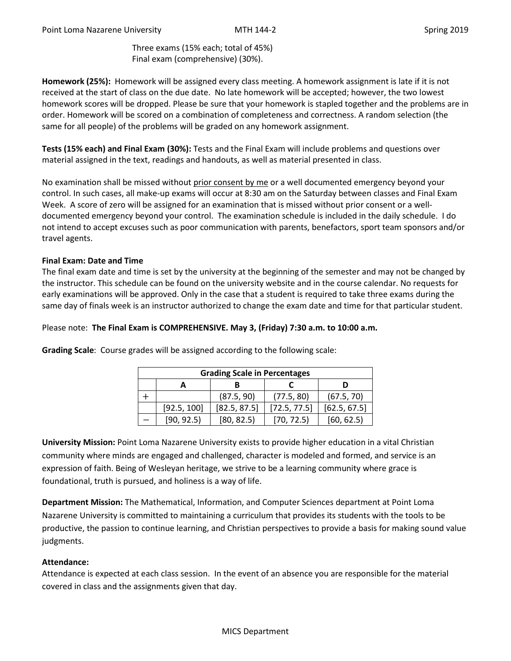Three exams (15% each; total of 45%) Final exam (comprehensive) (30%).

**Homework (25%):** Homework will be assigned every class meeting. A homework assignment is late if it is not received at the start of class on the due date. No late homework will be accepted; however, the two lowest homework scores will be dropped. Please be sure that your homework is stapled together and the problems are in order. Homework will be scored on a combination of completeness and correctness. A random selection (the same for all people) of the problems will be graded on any homework assignment.

**Tests (15% each) and Final Exam (30%):** Tests and the Final Exam will include problems and questions over material assigned in the text, readings and handouts, as well as material presented in class.

No examination shall be missed without prior consent by me or a well documented emergency beyond your control. In such cases, all make-up exams will occur at 8:30 am on the Saturday between classes and Final Exam Week. A score of zero will be assigned for an examination that is missed without prior consent or a welldocumented emergency beyond your control. The examination schedule is included in the daily schedule. I do not intend to accept excuses such as poor communication with parents, benefactors, sport team sponsors and/or travel agents.

## **Final Exam: Date and Time**

The final exam date and time is set by the university at the beginning of the semester and may not be changed by the instructor. This schedule can be found on the university website and in the course calendar. No requests for early examinations will be approved. Only in the case that a student is required to take three exams during the same day of finals week is an instructor authorized to change the exam date and time for that particular student.

## Please note: **The Final Exam is COMPREHENSIVE. May 3, (Friday) 7:30 a.m. to 10:00 a.m.**

| <b>Grading Scale in Percentages</b> |             |              |              |              |  |  |
|-------------------------------------|-------------|--------------|--------------|--------------|--|--|
|                                     |             |              |              |              |  |  |
|                                     |             | (87.5, 90)   | (77.5, 80)   | (67.5, 70)   |  |  |
|                                     | [92.5, 100] | [82.5, 87.5] | [72.5, 77.5] | [62.5, 67.5] |  |  |
|                                     | [90, 92.5]  | [80, 82.5]   | [70, 72.5]   | [60, 62.5]   |  |  |

**Grading Scale**: Course grades will be assigned according to the following scale:

**University Mission:** Point Loma Nazarene University exists to provide higher education in a vital Christian community where minds are engaged and challenged, character is modeled and formed, and service is an expression of faith. Being of Wesleyan heritage, we strive to be a learning community where grace is foundational, truth is pursued, and holiness is a way of life.

**Department Mission:** The Mathematical, Information, and Computer Sciences department at Point Loma Nazarene University is committed to maintaining a curriculum that provides its students with the tools to be productive, the passion to continue learning, and Christian perspectives to provide a basis for making sound value judgments.

### **Attendance:**

Attendance is expected at each class session. In the event of an absence you are responsible for the material covered in class and the assignments given that day.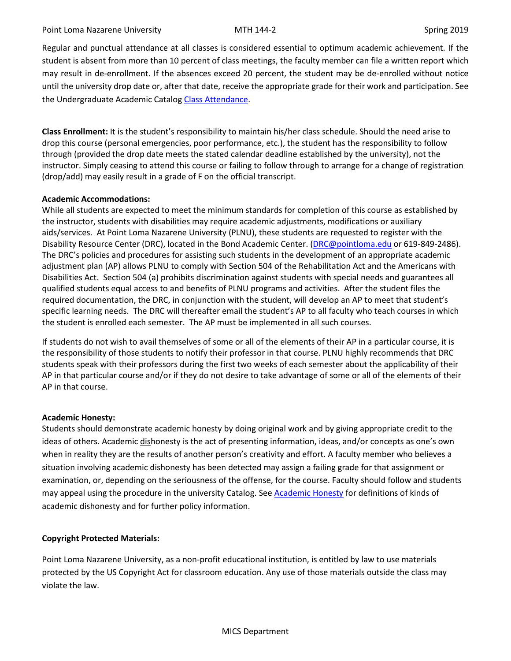Regular and punctual attendance at all classes is considered essential to optimum academic achievement. If the student is absent from more than 10 percent of class meetings, the faculty member can file a written report which may result in de-enrollment. If the absences exceed 20 percent, the student may be de-enrolled without notice until the university drop date or, after that date, receive the appropriate grade for their work and participation. See the Undergraduate Academic Catalo[g Class Attendance.](https://catalog.pointloma.edu/content.php?catoid=35&navoid=2136#Class_Attendance)

**Class Enrollment:** It is the student's responsibility to maintain his/her class schedule. Should the need arise to drop this course (personal emergencies, poor performance, etc.), the student has the responsibility to follow through (provided the drop date meets the stated calendar deadline established by the university), not the instructor. Simply ceasing to attend this course or failing to follow through to arrange for a change of registration (drop/add) may easily result in a grade of F on the official transcript.

# **Academic Accommodations:**

While all students are expected to meet the minimum standards for completion of this course as established by the instructor, students with disabilities may require academic adjustments, modifications or auxiliary aids/services. At Point Loma Nazarene University (PLNU), these students are requested to register with the Disability Resource Center (DRC), located in the Bond Academic Center. [\(DRC@pointloma.edu](mailto:DRC@pointloma.edu) or 619-849-2486). The DRC's policies and procedures for assisting such students in the development of an appropriate academic adjustment plan (AP) allows PLNU to comply with Section 504 of the Rehabilitation Act and the Americans with Disabilities Act. Section 504 (a) prohibits discrimination against students with special needs and guarantees all qualified students equal access to and benefits of PLNU programs and activities. After the student files the required documentation, the DRC, in conjunction with the student, will develop an AP to meet that student's specific learning needs. The DRC will thereafter email the student's AP to all faculty who teach courses in which the student is enrolled each semester. The AP must be implemented in all such courses.

If students do not wish to avail themselves of some or all of the elements of their AP in a particular course, it is the responsibility of those students to notify their professor in that course. PLNU highly recommends that DRC students speak with their professors during the first two weeks of each semester about the applicability of their AP in that particular course and/or if they do not desire to take advantage of some or all of the elements of their AP in that course.

# **Academic Honesty:**

Students should demonstrate academic honesty by doing original work and by giving appropriate credit to the ideas of others. Academic dishonesty is the act of presenting information, ideas, and/or concepts as one's own when in reality they are the results of another person's creativity and effort. A faculty member who believes a situation involving academic dishonesty has been detected may assign a failing grade for that assignment or examination, or, depending on the seriousness of the offense, for the course. Faculty should follow and students may appeal using the procedure in the university Catalog. See [Academic Honesty](https://catalog.pointloma.edu/content.php?catoid=35&navoid=2136#Academic_Honesty) for definitions of kinds of academic dishonesty and for further policy information.

# **Copyright Protected Materials:**

Point Loma Nazarene University, as a non-profit educational institution, is entitled by law to use materials protected by the US Copyright Act for classroom education. Any use of those materials outside the class may violate the law.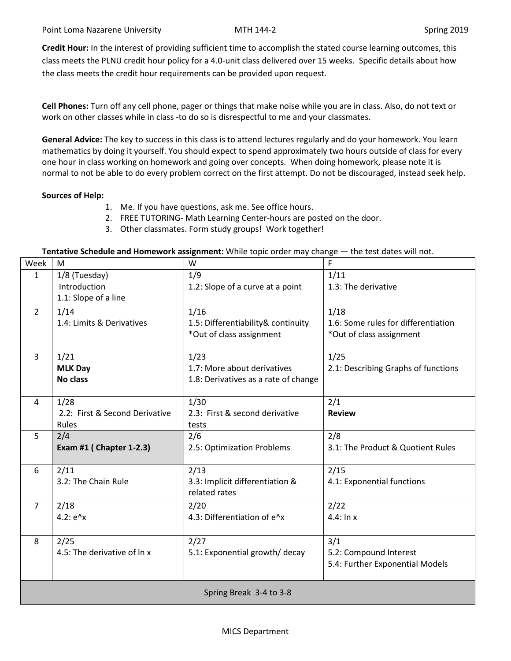**Credit Hour:** In the interest of providing sufficient time to accomplish the stated course learning outcomes, this class meets the PLNU credit hour policy for a 4.0-unit class delivered over 15 weeks. Specific details about how the class meets the credit hour requirements can be provided upon request.

**Cell Phones:** Turn off any cell phone, pager or things that make noise while you are in class. Also, do not text or work on other classes while in class -to do so is disrespectful to me and your classmates.

**General Advice:** The key to success in this class is to attend lectures regularly and do your homework. You learn mathematics by doing it yourself. You should expect to spend approximately two hours outside of class for every one hour in class working on homework and going over concepts. When doing homework, please note it is normal to not be able to do every problem correct on the first attempt. Do not be discouraged, instead seek help.

## **Sources of Help:**

- 1. Me. If you have questions, ask me. See office hours.
- 2. FREE TUTORING- Math Learning Center-hours are posted on the door.
- 3. Other classmates. Form study groups! Work together!

### **Tentative Schedule and Homework assignment:** While topic order may change — the test dates will not.

| Week                    | M                              | W                                    | F                                   |  |  |
|-------------------------|--------------------------------|--------------------------------------|-------------------------------------|--|--|
| $\mathbf{1}$            | 1/8 (Tuesday)                  | 1/9                                  | 1/11                                |  |  |
|                         | Introduction                   | 1.2: Slope of a curve at a point     | 1.3: The derivative                 |  |  |
|                         | 1.1: Slope of a line           |                                      |                                     |  |  |
| $\overline{2}$          | 1/14                           | 1/16                                 | 1/18                                |  |  |
|                         | 1.4: Limits & Derivatives      | 1.5: Differentiability& continuity   | 1.6: Some rules for differentiation |  |  |
|                         |                                | *Out of class assignment             | *Out of class assignment            |  |  |
|                         |                                |                                      |                                     |  |  |
| 3                       | 1/21                           | 1/23                                 | 1/25                                |  |  |
|                         | <b>MLK Day</b>                 | 1.7: More about derivatives          | 2.1: Describing Graphs of functions |  |  |
|                         | <b>No class</b>                | 1.8: Derivatives as a rate of change |                                     |  |  |
|                         |                                |                                      |                                     |  |  |
| 4                       | 1/28                           | 1/30                                 | 2/1                                 |  |  |
|                         | 2.2: First & Second Derivative | 2.3: First & second derivative       | <b>Review</b>                       |  |  |
|                         | Rules                          | tests                                |                                     |  |  |
| 5                       | 2/4                            | 2/6                                  | 2/8                                 |  |  |
|                         | Exam #1 ( Chapter 1-2.3)       | 2.5: Optimization Problems           | 3.1: The Product & Quotient Rules   |  |  |
|                         |                                |                                      |                                     |  |  |
| 6                       | 2/11                           | 2/13                                 | 2/15                                |  |  |
|                         | 3.2: The Chain Rule            | 3.3: Implicit differentiation &      | 4.1: Exponential functions          |  |  |
|                         |                                | related rates                        |                                     |  |  |
| $\overline{7}$          | 2/18                           | 2/20                                 | 2/22                                |  |  |
|                         | $4.2: e^x$                     | 4.3: Differentiation of e^x          | $4.4:$ In x                         |  |  |
|                         |                                |                                      |                                     |  |  |
| 8                       | 2/25                           | 2/27                                 | 3/1                                 |  |  |
|                         | 4.5: The derivative of ln x    | 5.1: Exponential growth/ decay       | 5.2: Compound Interest              |  |  |
|                         |                                |                                      | 5.4: Further Exponential Models     |  |  |
|                         |                                |                                      |                                     |  |  |
| Spring Break 3-4 to 3-8 |                                |                                      |                                     |  |  |
|                         |                                |                                      |                                     |  |  |